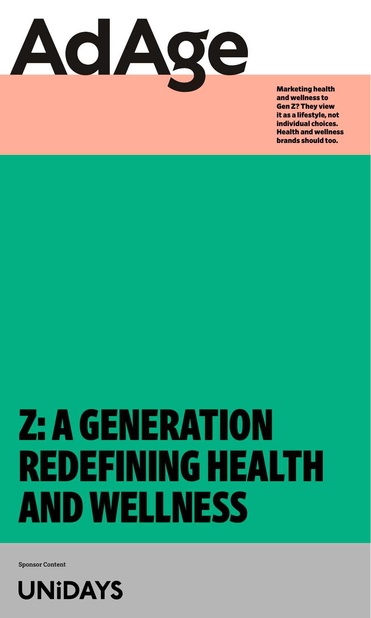

Marketing health and wellness to Gen Z? They view it as a lifestyle, not individual choices. Health and wellness brands should too.

# Z: A GENERATION REDEFINING HEALTH AND WELLNESS

**Sponsor Content**

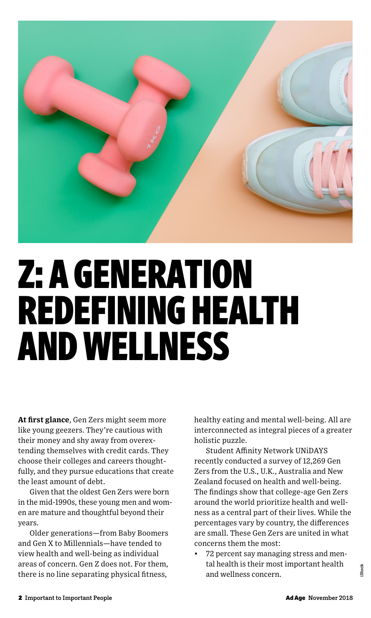

## Z: A GENERATION REDEFINING HEALTH AND WELLNESS

**At first glance**, Gen Zers might seem more like young geezers. They're cautious with their money and shy away from overextending themselves with credit cards. They choose their colleges and careers thoughtfully, and they pursue educations that create the least amount of debt.

Given that the oldest Gen Zers were born in the mid-1990s, these young men and women are mature and thoughtful beyond their years.

Older generations—from Baby Boomers and Gen X to Millennials—have tended to view health and well-being as individual areas of concern. Gen Z does not. For them, there is no line separating physical fitness,

healthy eating and mental well-being. All are interconnected as integral pieces of a greater holistic puzzle.

Student Affinity Network UNiDAYS recently conducted a survey of 12,269 Gen Zers from the U.S., U.K., Australia and New Zealand focused on health and well-being. The findings show that college-age Gen Zers around the world prioritize health and wellness as a central part of their lives. While the percentages vary by country, the differences are small. These Gen Zers are united in what concerns them the most:

• 72 percent say managing stress and mental health is their most important health and wellness concern.

**iStock**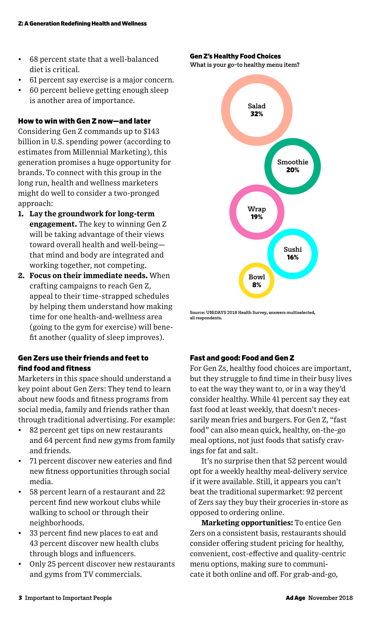- 68 percent state that a well-balanced diet is critical.
- 61 percent say exercise is a major concern.
- 60 percent believe getting enough sleep is another area of importance.

#### How to win with Gen Z now—and later

Considering Gen Z commands up to \$143 billion in U.S. spending power (according to estimates from Millennial Marketing), this generation promises a huge opportunity for brands. To connect with this group in the long run, health and wellness marketers might do well to consider a two-pronged approach:

- **1. Lay the groundwork for long-term engagement.** The key to winning Gen Z will be taking advantage of their views toward overall health and well-being that mind and body are integrated and working together, not competing.
- **2. Focus on their immediate needs.** When crafting campaigns to reach Gen Z, appeal to their time-strapped schedules by helping them understand how making time for one health-and-wellness area (going to the gym for exercise) will benefit another (quality of sleep improves).

#### Gen Zers use their friends and feet to find food and fitness

Marketers in this space should understand a key point about Gen Zers: They tend to learn about new foods and fitness programs from social media, family and friends rather than through traditional advertising. For example:

- 82 percent get tips on new restaurants and 64 percent find new gyms from family and friends.
- 71 percent discover new eateries and find new fitness opportunities through social media.
- 58 percent learn of a restaurant and 22 percent find new workout clubs while walking to school or through their neighborhoods.
- 33 percent find new places to eat and 43 percent discover new health clubs through blogs and influencers.
- Only 25 percent discover new restaurants and gyms from TV commercials.

Gen Z's Healthy Food Choices

**What is your go-to healthy menu item?**



**Source: UNiDAYS 2018 Health Survey, answers multiselected, all respondents.**

#### Fast and good: Food and Gen Z

For Gen Zs, healthy food choices are important, but they struggle to find time in their busy lives to eat the way they want to, or in a way they'd consider healthy. While 41 percent say they eat fast food at least weekly, that doesn't necessarily mean fries and burgers. For Gen Z, "fast food" can also mean quick, healthy, on-the-go meal options, not just foods that satisfy cravings for fat and salt.

It's no surprise then that 52 percent would opt for a weekly healthy meal-delivery service if it were available. Still, it appears you can't beat the traditional supermarket: 92 percent of Zers say they buy their groceries in-store as opposed to ordering online.

**Marketing opportunities:** To entice Gen Zers on a consistent basis, restaurants should consider offering student pricing for healthy, convenient, cost-effective and quality-centric menu options, making sure to communicate it both online and off. For grab-and-go,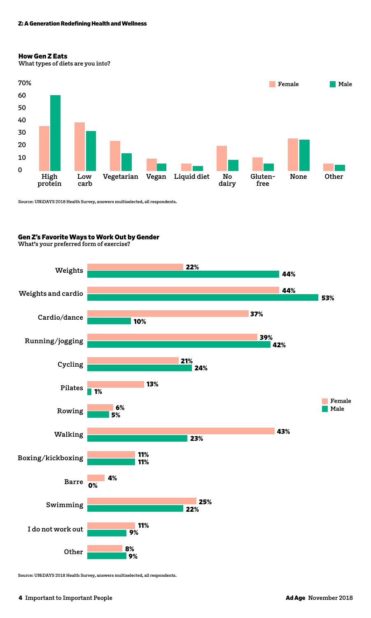#### Z: A Generation Redefining Health and Wellness

#### How Gen Z Eats

**What types of diets are you into?**



**Source: UNiDAYS 2018 Health Survey, answers multiselected, all respondents.**

#### Gen Z's Favorite Ways to Work Out by Gender

**What's your preferred form of exercise?**



**Source: UNiDAYS 2018 Health Survey, answers multiselected, all respondents.**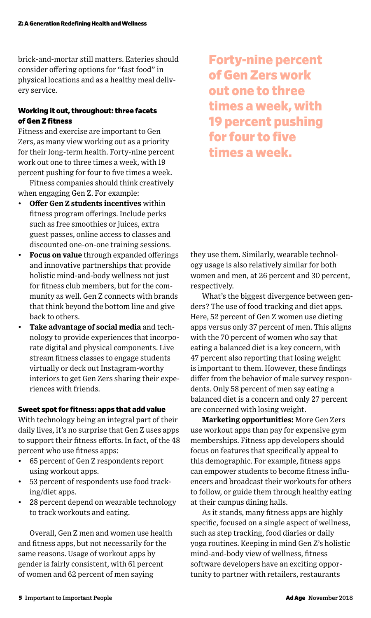brick-and-mortar still matters. Eateries should consider offering options for "fast food" in physical locations and as a healthy meal delivery service.

#### Working it out, throughout: three facets of Gen Z fitness

Fitness and exercise are important to Gen Zers, as many view working out as a priority for their long-term health. Forty-nine percent work out one to three times a week, with 19 percent pushing for four to five times a week.

Fitness companies should think creatively when engaging Gen Z. For example:

- **Offer Gen Z students incentives** within fitness program offerings. Include perks such as free smoothies or juices, extra guest passes, online access to classes and discounted one-on-one training sessions.
- **Focus on value** through expanded offerings and innovative partnerships that provide holistic mind-and-body wellness not just for fitness club members, but for the community as well. Gen Z connects with brands that think beyond the bottom line and give back to others.
- **Take advantage of social media** and technology to provide experiences that incorporate digital and physical components. Live stream fitness classes to engage students virtually or deck out Instagram-worthy interiors to get Gen Zers sharing their experiences with friends.

#### Sweet spot for fitness: apps that add value

With technology being an integral part of their daily lives, it's no surprise that Gen Z uses apps to support their fitness efforts. In fact, of the 48 percent who use fitness apps:

- 65 percent of Gen Z respondents report using workout apps.
- 53 percent of respondents use food tracking/diet apps.
- 28 percent depend on wearable technology to track workouts and eating.

Overall, Gen Z men and women use health and fitness apps, but not necessarily for the same reasons. Usage of workout apps by gender is fairly consistent, with 61 percent of women and 62 percent of men saying

Forty-nine percent of Gen Zers work out one to three times a week, with 19 percent pushing for four to five times a week.

they use them. Similarly, wearable technology usage is also relatively similar for both women and men, at 26 percent and 30 percent, respectively.

What's the biggest divergence between genders? The use of food tracking and diet apps. Here, 52 percent of Gen Z women use dieting apps versus only 37 percent of men. This aligns with the 70 percent of women who say that eating a balanced diet is a key concern, with 47 percent also reporting that losing weight is important to them. However, these findings differ from the behavior of male survey respondents. Only 58 percent of men say eating a balanced diet is a concern and only 27 percent are concerned with losing weight.

**Marketing opportunities:** More Gen Zers use workout apps than pay for expensive gym memberships. Fitness app developers should focus on features that specifically appeal to this demographic. For example, fitness apps can empower students to become fitness influencers and broadcast their workouts for others to follow, or guide them through healthy eating at their campus dining halls.

As it stands, many fitness apps are highly specific, focused on a single aspect of wellness, such as step tracking, food diaries or daily yoga routines. Keeping in mind Gen Z's holistic mind-and-body view of wellness, fitness software developers have an exciting opportunity to partner with retailers, restaurants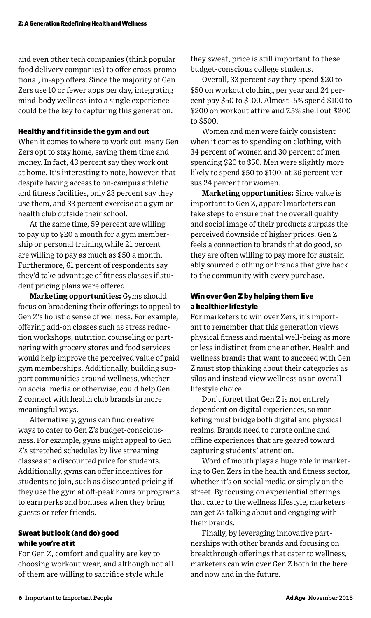and even other tech companies (think popular food delivery companies) to offer cross-promotional, in-app offers. Since the majority of Gen Zers use 10 or fewer apps per day, integrating mind-body wellness into a single experience could be the key to capturing this generation.

#### Healthy and fit inside the gym and out

When it comes to where to work out, many Gen Zers opt to stay home, saving them time and money. In fact, 43 percent say they work out at home. It's interesting to note, however, that despite having access to on-campus athletic and fitness facilities, only 23 percent say they use them, and 33 percent exercise at a gym or health club outside their school.

At the same time, 59 percent are willing to pay up to \$20 a month for a gym membership or personal training while 21 percent are willing to pay as much as \$50 a month. Furthermore, 61 percent of respondents say they'd take advantage of fitness classes if student pricing plans were offered.

**Marketing opportunities:** Gyms should focus on broadening their offerings to appeal to Gen Z's holistic sense of wellness. For example, offering add-on classes such as stress reduction workshops, nutrition counseling or partnering with grocery stores and food services would help improve the perceived value of paid gym memberships. Additionally, building support communities around wellness, whether on social media or otherwise, could help Gen Z connect with health club brands in more meaningful ways.

Alternatively, gyms can find creative ways to cater to Gen Z's budget-consciousness. For example, gyms might appeal to Gen Z's stretched schedules by live streaming classes at a discounted price for students. Additionally, gyms can offer incentives for students to join, such as discounted pricing if they use the gym at off-peak hours or programs to earn perks and bonuses when they bring guests or refer friends.

#### Sweat but look (and do) good while you're at it

For Gen Z, comfort and quality are key to choosing workout wear, and although not all of them are willing to sacrifice style while

they sweat, price is still important to these budget-conscious college students.

Overall, 33 percent say they spend \$20 to \$50 on workout clothing per year and 24 percent pay \$50 to \$100. Almost 15% spend \$100 to \$200 on workout attire and 7.5% shell out \$200 to \$500.

Women and men were fairly consistent when it comes to spending on clothing, with 34 percent of women and 30 percent of men spending \$20 to \$50. Men were slightly more likely to spend \$50 to \$100, at 26 percent versus 24 percent for women.

**Marketing opportunities:** Since value is important to Gen Z, apparel marketers can take steps to ensure that the overall quality and social image of their products surpass the perceived downside of higher prices. Gen Z feels a connection to brands that do good, so they are often willing to pay more for sustainably sourced clothing or brands that give back to the community with every purchase.

#### Win over Gen Z by helping them live a healthier lifestyle

For marketers to win over Zers, it's important to remember that this generation views physical fitness and mental well-being as more or less indistinct from one another. Health and wellness brands that want to succeed with Gen Z must stop thinking about their categories as silos and instead view wellness as an overall lifestyle choice.

Don't forget that Gen Z is not entirely dependent on digital experiences, so marketing must bridge both digital and physical realms. Brands need to curate online and offline experiences that are geared toward capturing students' attention.

Word of mouth plays a huge role in marketing to Gen Zers in the health and fitness sector, whether it's on social media or simply on the street. By focusing on experiential offerings that cater to the wellness lifestyle, marketers can get Zs talking about and engaging with their brands.

Finally, by leveraging innovative partnerships with other brands and focusing on breakthrough offerings that cater to wellness, marketers can win over Gen Z both in the here and now and in the future.